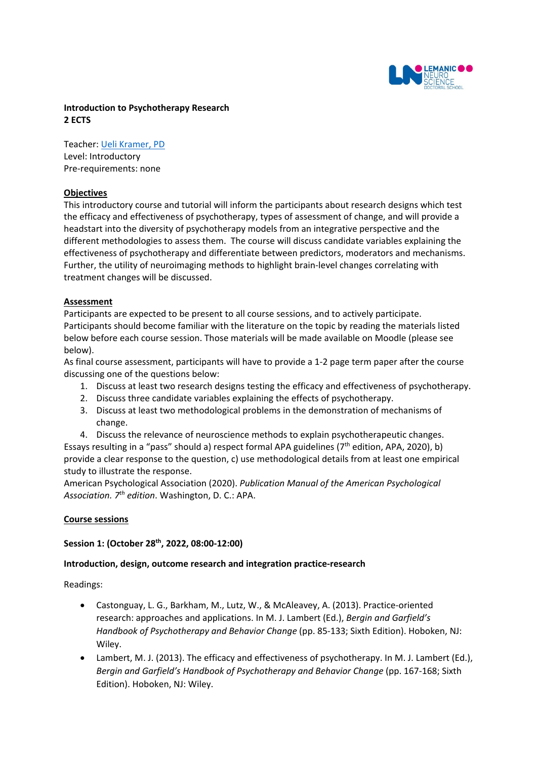

## **Introduction to Psychotherapy Research 2 ECTS**

Teacher: [Ueli Kramer, PD](https://applicationspub.unil.ch/interpub/noauth/php/Un/UnPers.php?PerNum=1150850&LanCode=8&menu=coord) Level: Introductory Pre-requirements: none

#### **Objectives**

This introductory course and tutorial will inform the participants about research designs which test the efficacy and effectiveness of psychotherapy, types of assessment of change, and will provide a headstart into the diversity of psychotherapy models from an integrative perspective and the different methodologies to assess them. The course will discuss candidate variables explaining the effectiveness of psychotherapy and differentiate between predictors, moderators and mechanisms. Further, the utility of neuroimaging methods to highlight brain-level changes correlating with treatment changes will be discussed.

#### **Assessment**

Participants are expected to be present to all course sessions, and to actively participate. Participants should become familiar with the literature on the topic by reading the materials listed below before each course session. Those materials will be made available on Moodle (please see below).

As final course assessment, participants will have to provide a 1-2 page term paper after the course discussing one of the questions below:

- 1. Discuss at least two research designs testing the efficacy and effectiveness of psychotherapy.
- 2. Discuss three candidate variables explaining the effects of psychotherapy.
- 3. Discuss at least two methodological problems in the demonstration of mechanisms of change.
- 4. Discuss the relevance of neuroscience methods to explain psychotherapeutic changes.

Essays resulting in a "pass" should a) respect formal APA guidelines ( $7<sup>th</sup>$  edition, APA, 2020), b) provide a clear response to the question, c) use methodological details from at least one empirical study to illustrate the response.

American Psychological Association (2020). *Publication Manual of the American Psychological Association. 7th edition*. Washington, D. C.: APA.

#### **Course sessions**

#### **Session 1: (October 28th, 2022, 08:00-12:00)**

#### **Introduction, design, outcome research and integration practice-research**

Readings:

- Castonguay, L. G., Barkham, M., Lutz, W., & McAleavey, A. (2013). Practice-oriented research: approaches and applications. In M. J. Lambert (Ed.), *Bergin and Garfield's Handbook of Psychotherapy and Behavior Change* (pp. 85-133; Sixth Edition). Hoboken, NJ: Wiley.
- Lambert, M. J. (2013). The efficacy and effectiveness of psychotherapy. In M. J. Lambert (Ed.), *Bergin and Garfield's Handbook of Psychotherapy and Behavior Change* (pp. 167-168; Sixth Edition). Hoboken, NJ: Wiley.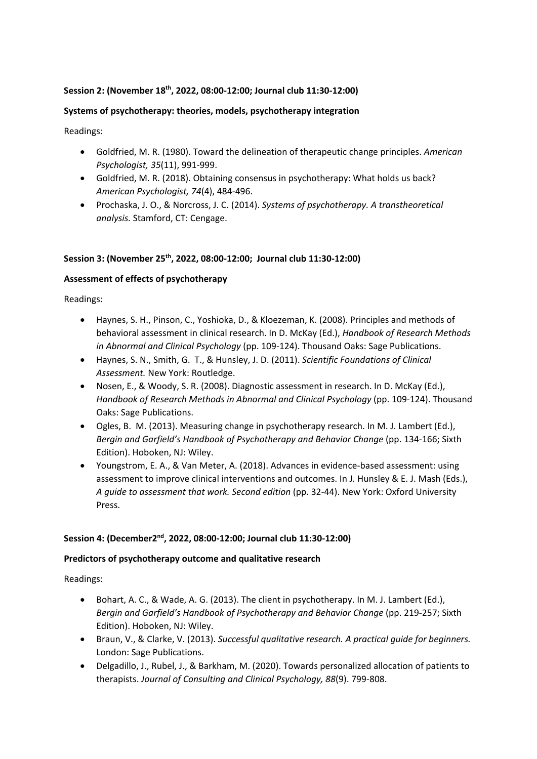## **Session 2: (November 18th, 2022, 08:00-12:00; Journal club 11:30-12:00)**

## **Systems of psychotherapy: theories, models, psychotherapy integration**

Readings:

- Goldfried, M. R. (1980). Toward the delineation of therapeutic change principles. *American Psychologist, 35*(11), 991-999.
- Goldfried, M. R. (2018). Obtaining consensus in psychotherapy: What holds us back? *American Psychologist, 74*(4), 484-496.
- Prochaska, J. O., & Norcross, J. C. (2014). *Systems of psychotherapy. A transtheoretical analysis.* Stamford, CT: Cengage.

## **Session 3: (November 25th, 2022, 08:00-12:00; Journal club 11:30-12:00)**

# **Assessment of effects of psychotherapy**

Readings:

- Haynes, S. H., Pinson, C., Yoshioka, D., & Kloezeman, K. (2008). Principles and methods of behavioral assessment in clinical research. In D. McKay (Ed.), *Handbook of Research Methods in Abnormal and Clinical Psychology* (pp. 109-124). Thousand Oaks: Sage Publications.
- Haynes, S. N., Smith, G. T., & Hunsley, J. D. (2011). *Scientific Foundations of Clinical Assessment.* New York: Routledge.
- Nosen, E., & Woody, S. R. (2008). Diagnostic assessment in research. In D. McKay (Ed.), *Handbook of Research Methods in Abnormal and Clinical Psychology* (pp. 109-124). Thousand Oaks: Sage Publications.
- Ogles, B. M. (2013). Measuring change in psychotherapy research. In M. J. Lambert (Ed.), *Bergin and Garfield's Handbook of Psychotherapy and Behavior Change* (pp. 134-166; Sixth Edition). Hoboken, NJ: Wiley.
- Youngstrom, E. A., & Van Meter, A. (2018). Advances in evidence-based assessment: using assessment to improve clinical interventions and outcomes. In J. Hunsley & E. J. Mash (Eds.), *A guide to assessment that work. Second edition* (pp. 32-44). New York: Oxford University Press.

## **Session 4: (December2nd, 2022, 08:00-12:00; Journal club 11:30-12:00)**

## **Predictors of psychotherapy outcome and qualitative research**

Readings:

- Bohart, A. C., & Wade, A. G. (2013). The client in psychotherapy. In M. J. Lambert (Ed.), *Bergin and Garfield's Handbook of Psychotherapy and Behavior Change* (pp. 219-257; Sixth Edition). Hoboken, NJ: Wiley.
- Braun, V., & Clarke, V. (2013). *Successful qualitative research. A practical guide for beginners.* London: Sage Publications.
- Delgadillo, J., Rubel, J., & Barkham, M. (2020). Towards personalized allocation of patients to therapists. *Journal of Consulting and Clinical Psychology, 88*(9). 799-808.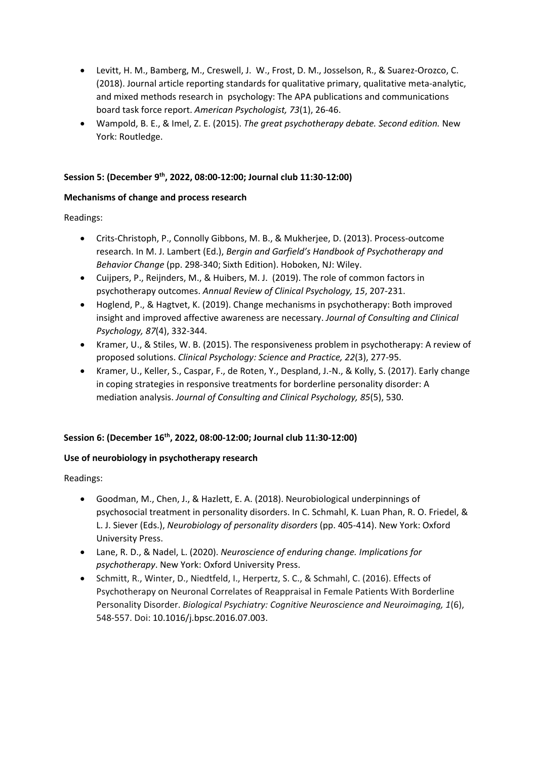- Levitt, H. M., Bamberg, M., Creswell, J. W., Frost, D. M., Josselson, R., & Suarez-Orozco, C. (2018). Journal article reporting standards for qualitative primary, qualitative meta-analytic, and mixed methods research in psychology: The APA publications and communications board task force report. *American Psychologist, 73*(1), 26-46.
- Wampold, B. E., & Imel, Z. E. (2015). *The great psychotherapy debate. Second edition.* New York: Routledge.

## **Session 5: (December 9th, 2022, 08:00-12:00; Journal club 11:30-12:00)**

## **Mechanisms of change and process research**

Readings:

- Crits-Christoph, P., Connolly Gibbons, M. B., & Mukherjee, D. (2013). Process-outcome research. In M. J. Lambert (Ed.), *Bergin and Garfield's Handbook of Psychotherapy and Behavior Change* (pp. 298-340; Sixth Edition). Hoboken, NJ: Wiley.
- Cuijpers, P., Reijnders, M., & Huibers, M. J. (2019). The role of common factors in psychotherapy outcomes. *Annual Review of Clinical Psychology, 15*, 207-231.
- Hoglend, P., & Hagtvet, K. (2019). Change mechanisms in psychotherapy: Both improved insight and improved affective awareness are necessary. *Journal of Consulting and Clinical Psychology, 87*(4), 332-344.
- Kramer, U., & Stiles, W. B. (2015). The responsiveness problem in psychotherapy: A review of proposed solutions. *Clinical Psychology: Science and Practice, 22*(3), 277-95.
- Kramer, U., Keller, S., Caspar, F., de Roten, Y., Despland, J.-N., & Kolly, S. (2017). Early change in coping strategies in responsive treatments for borderline personality disorder: A mediation analysis. *Journal of Consulting and Clinical Psychology, 85*(5), 530.

## **Session 6: (December 16th, 2022, 08:00-12:00; Journal club 11:30-12:00)**

## **Use of neurobiology in psychotherapy research**

Readings:

- Goodman, M., Chen, J., & Hazlett, E. A. (2018). Neurobiological underpinnings of psychosocial treatment in personality disorders. In C. Schmahl, K. Luan Phan, R. O. Friedel, & L. J. Siever (Eds.), *Neurobiology of personality disorders* (pp. 405-414). New York: Oxford University Press.
- Lane, R. D., & Nadel, L. (2020). *Neuroscience of enduring change. Implications for psychotherapy*. New York: Oxford University Press.
- Schmitt, R., Winter, D., Niedtfeld, I., Herpertz, S. C., & Schmahl, C. (2016). Effects of Psychotherapy on Neuronal Correlates of Reappraisal in Female Patients With Borderline Personality Disorder. *Biological Psychiatry: Cognitive Neuroscience and Neuroimaging, 1*(6), 548-557. Doi: 10.1016/j.bpsc.2016.07.003.